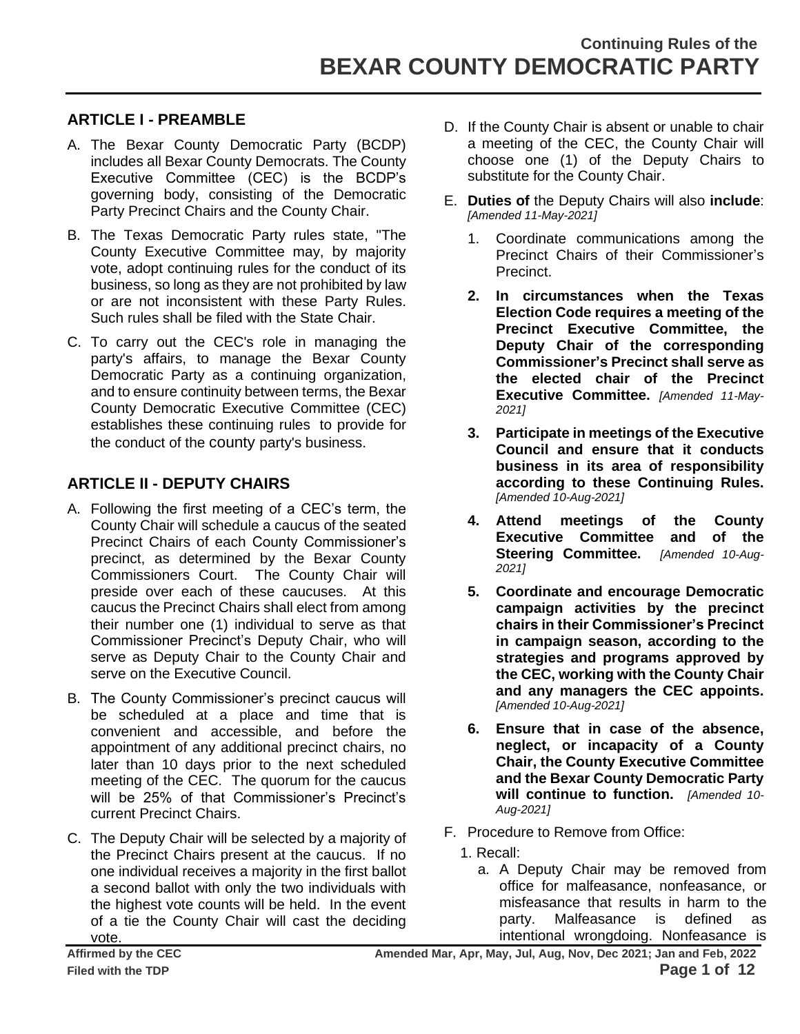#### **ARTICLE I - PREAMBLE**

- A. The Bexar County Democratic Party (BCDP) includes all Bexar County Democrats. The County Executive Committee (CEC) is the BCDP's governing body, consisting of the Democratic Party Precinct Chairs and the County Chair.
- B. The Texas Democratic Party rules state, "The County Executive Committee may, by majority vote, adopt continuing rules for the conduct of its business, so long as they are not prohibited by law or are not inconsistent with these Party Rules. Such rules shall be filed with the State Chair.
- C. To carry out the CEC's role in managing the party's affairs, to manage the Bexar County Democratic Party as a continuing organization, and to ensure continuity between terms, the Bexar County Democratic Executive Committee (CEC) establishes these continuing rules to provide for the conduct of the county party's business.

### **ARTICLE II - DEPUTY CHAIRS**

- A. Following the first meeting of a CEC's term, the County Chair will schedule a caucus of the seated Precinct Chairs of each County Commissioner's precinct, as determined by the Bexar County Commissioners Court. The County Chair will preside over each of these caucuses. At this caucus the Precinct Chairs shall elect from among their number one (1) individual to serve as that Commissioner Precinct's Deputy Chair, who will serve as Deputy Chair to the County Chair and serve on the Executive Council.
- B. The County Commissioner's precinct caucus will be scheduled at a place and time that is convenient and accessible, and before the appointment of any additional precinct chairs, no later than 10 days prior to the next scheduled meeting of the CEC. The quorum for the caucus will be 25% of that Commissioner's Precinct's current Precinct Chairs.
- C. The Deputy Chair will be selected by a majority of the Precinct Chairs present at the caucus. If no one individual receives a majority in the first ballot a second ballot with only the two individuals with the highest vote counts will be held. In the event of a tie the County Chair will cast the deciding vote.
- D. If the County Chair is absent or unable to chair a meeting of the CEC, the County Chair will choose one (1) of the Deputy Chairs to substitute for the County Chair.
- E. **Duties of** the Deputy Chairs will also **include**: *[Amended 11-May-2021]*
	- 1. Coordinate communications among the Precinct Chairs of their Commissioner's Precinct.
	- **2. In circumstances when the Texas Election Code requires a meeting of the Precinct Executive Committee, the Deputy Chair of the corresponding Commissioner's Precinct shall serve as the elected chair of the Precinct Executive Committee.** *[Amended 11-May-2021]*
	- **3. Participate in meetings of the Executive Council and ensure that it conducts business in its area of responsibility according to these Continuing Rules.**  *[Amended 10-Aug-2021]*
	- **4. Attend meetings of the County Executive Committee and of the Steering Committee.** *[Amended 10-Aug-2021]*
	- **5. Coordinate and encourage Democratic campaign activities by the precinct chairs in their Commissioner's Precinct in campaign season, according to the strategies and programs approved by the CEC, working with the County Chair and any managers the CEC appoints.**  *[Amended 10-Aug-2021]*
	- **6. Ensure that in case of the absence, neglect, or incapacity of a County Chair, the County Executive Committee and the Bexar County Democratic Party will continue to function.** *[Amended 10- Aug-2021]*
- F. Procedure to Remove from Office:
	- 1. Recall:
		- a. A Deputy Chair may be removed from office for malfeasance, nonfeasance, or misfeasance that results in harm to the party. Malfeasance is defined as intentional wrongdoing. Nonfeasance is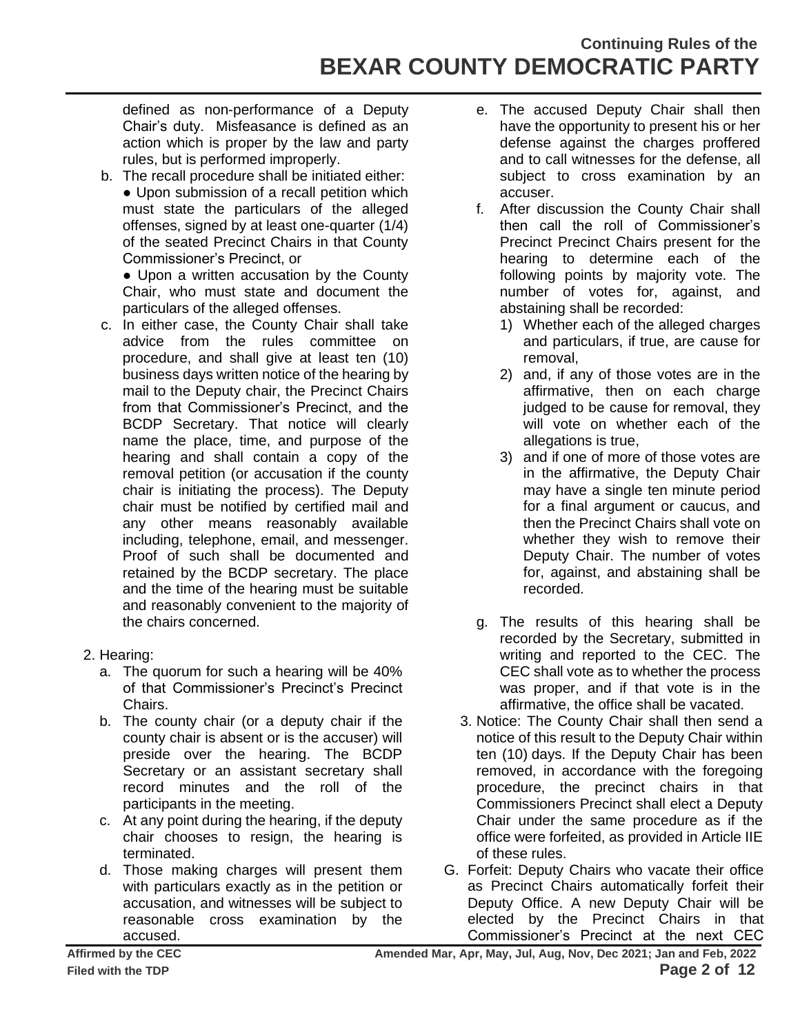# **Continuing Rules of the BEXAR COUNTY DEMOCRATIC PARTY**

defined as non-performance of a Deputy Chair's duty. Misfeasance is defined as an action which is proper by the law and party rules, but is performed improperly.

- b. The recall procedure shall be initiated either: • Upon submission of a recall petition which must state the particulars of the alleged offenses, signed by at least one-quarter (1/4) of the seated Precinct Chairs in that County Commissioner's Precinct, or
	- Upon a written accusation by the County Chair, who must state and document the particulars of the alleged offenses.
- c. In either case, the County Chair shall take advice from the rules committee on procedure, and shall give at least ten (10) business days written notice of the hearing by mail to the Deputy chair, the Precinct Chairs from that Commissioner's Precinct, and the BCDP Secretary. That notice will clearly name the place, time, and purpose of the hearing and shall contain a copy of the removal petition (or accusation if the county chair is initiating the process). The Deputy chair must be notified by certified mail and any other means reasonably available including, telephone, email, and messenger. Proof of such shall be documented and retained by the BCDP secretary. The place and the time of the hearing must be suitable and reasonably convenient to the majority of the chairs concerned.
- 2. Hearing:
	- a. The quorum for such a hearing will be 40% of that Commissioner's Precinct's Precinct Chairs.
	- b. The county chair (or a deputy chair if the county chair is absent or is the accuser) will preside over the hearing. The BCDP Secretary or an assistant secretary shall record minutes and the roll of the participants in the meeting.
	- c. At any point during the hearing, if the deputy chair chooses to resign, the hearing is terminated.
	- d. Those making charges will present them with particulars exactly as in the petition or accusation, and witnesses will be subject to reasonable cross examination by the accused.
- e. The accused Deputy Chair shall then have the opportunity to present his or her defense against the charges proffered and to call witnesses for the defense, all subject to cross examination by an accuser.
- f. After discussion the County Chair shall then call the roll of Commissioner's Precinct Precinct Chairs present for the hearing to determine each of the following points by majority vote. The number of votes for, against, and abstaining shall be recorded:
	- 1) Whether each of the alleged charges and particulars, if true, are cause for removal,
	- 2) and, if any of those votes are in the affirmative, then on each charge judged to be cause for removal, they will vote on whether each of the allegations is true,
	- 3) and if one of more of those votes are in the affirmative, the Deputy Chair may have a single ten minute period for a final argument or caucus, and then the Precinct Chairs shall vote on whether they wish to remove their Deputy Chair. The number of votes for, against, and abstaining shall be recorded.
- g. The results of this hearing shall be recorded by the Secretary, submitted in writing and reported to the CEC. The CEC shall vote as to whether the process was proper, and if that vote is in the affirmative, the office shall be vacated.
- 3. Notice: The County Chair shall then send a notice of this result to the Deputy Chair within ten (10) days. If the Deputy Chair has been removed, in accordance with the foregoing procedure, the precinct chairs in that Commissioners Precinct shall elect a Deputy Chair under the same procedure as if the office were forfeited, as provided in Article IIE of these rules.
- G. Forfeit: Deputy Chairs who vacate their office as Precinct Chairs automatically forfeit their Deputy Office. A new Deputy Chair will be elected by the Precinct Chairs in that Commissioner's Precinct at the next CEC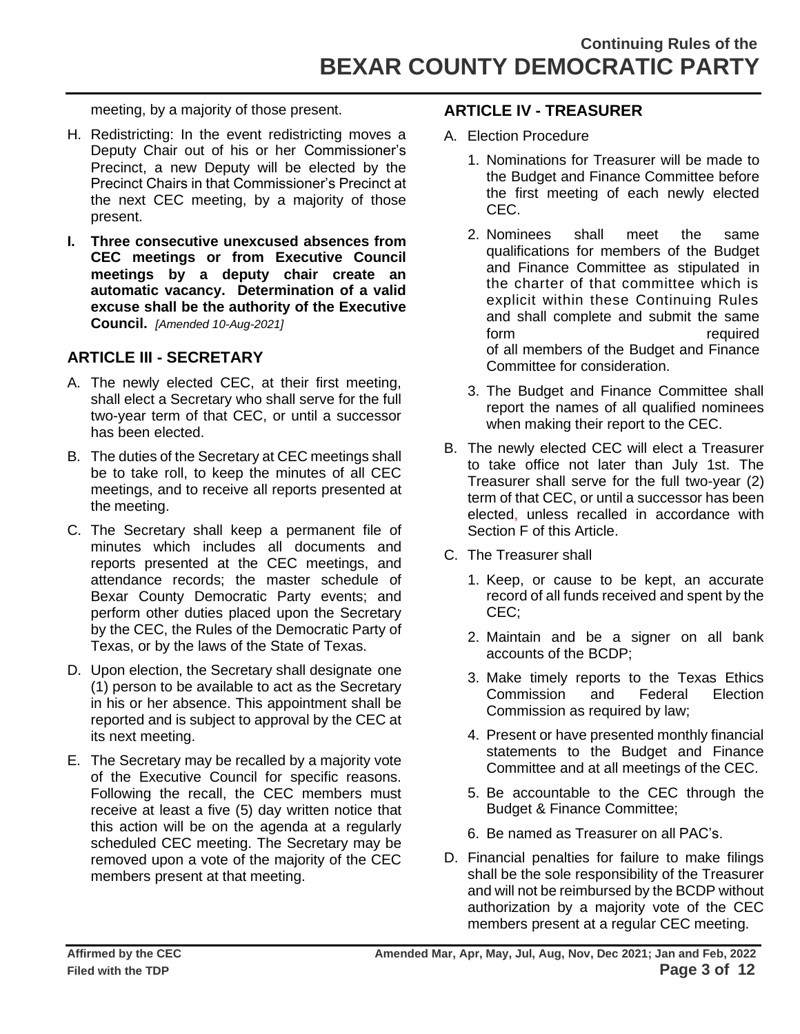meeting, by a majority of those present.

- H. Redistricting: In the event redistricting moves a Deputy Chair out of his or her Commissioner's Precinct, a new Deputy will be elected by the Precinct Chairs in that Commissioner's Precinct at the next CEC meeting, by a majority of those present.
- **I. Three consecutive unexcused absences from CEC meetings or from Executive Council meetings by a deputy chair create an automatic vacancy. Determination of a valid excuse shall be the authority of the Executive Council.** *[Amended 10-Aug-2021]*

### **ARTICLE III - SECRETARY**

- A. The newly elected CEC, at their first meeting, shall elect a Secretary who shall serve for the full two-year term of that CEC, or until a successor has been elected.
- B. The duties of the Secretary at CEC meetings shall be to take roll, to keep the minutes of all CEC meetings, and to receive all reports presented at the meeting.
- C. The Secretary shall keep a permanent file of minutes which includes all documents and reports presented at the CEC meetings, and attendance records; the master schedule of Bexar County Democratic Party events; and perform other duties placed upon the Secretary by the CEC, the Rules of the Democratic Party of Texas, or by the laws of the State of Texas.
- D. Upon election, the Secretary shall designate one (1) person to be available to act as the Secretary in his or her absence. This appointment shall be reported and is subject to approval by the CEC at its next meeting.
- E. The Secretary may be recalled by a majority vote of the Executive Council for specific reasons. Following the recall, the CEC members must receive at least a five (5) day written notice that this action will be on the agenda at a regularly scheduled CEC meeting. The Secretary may be removed upon a vote of the majority of the CEC members present at that meeting.

### **ARTICLE IV - TREASURER**

- A. Election Procedure
	- 1. Nominations for Treasurer will be made to the Budget and Finance Committee before the first meeting of each newly elected CEC.
	- 2. Nominees shall meet the same qualifications for members of the Budget and Finance Committee as stipulated in the charter of that committee which is explicit within these Continuing Rules and shall complete and submit the same form required of all members of the Budget and Finance Committee for consideration.
	- 3. The Budget and Finance Committee shall report the names of all qualified nominees when making their report to the CEC.
- B. The newly elected CEC will elect a Treasurer to take office not later than July 1st. The Treasurer shall serve for the full two-year (2) term of that CEC, or until a successor has been elected, unless recalled in accordance with Section F of this Article.
- C. The Treasurer shall
	- 1. Keep, or cause to be kept, an accurate record of all funds received and spent by the CEC;
	- 2. Maintain and be a signer on all bank accounts of the BCDP;
	- 3. Make timely reports to the Texas Ethics Commission and Federal Election Commission as required by law;
	- 4. Present or have presented monthly financial statements to the Budget and Finance Committee and at all meetings of the CEC.
	- 5. Be accountable to the CEC through the Budget & Finance Committee;
	- 6. Be named as Treasurer on all PAC's.
- D. Financial penalties for failure to make filings shall be the sole responsibility of the Treasurer and will not be reimbursed by the BCDP without authorization by a majority vote of the CEC members present at a regular CEC meeting.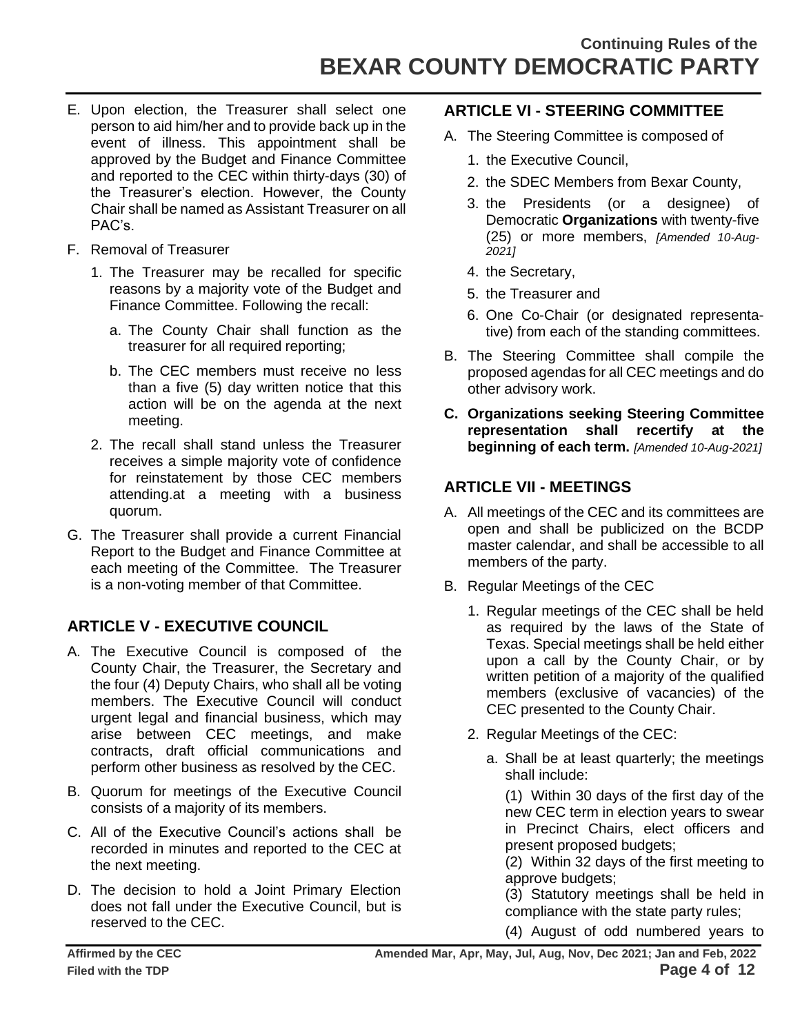- E. Upon election, the Treasurer shall select one person to aid him/her and to provide back up in the event of illness. This appointment shall be approved by the Budget and Finance Committee and reported to the CEC within thirty-days (30) of the Treasurer's election. However, the County Chair shall be named as Assistant Treasurer on all PAC's.
- F. Removal of Treasurer
	- 1. The Treasurer may be recalled for specific reasons by a majority vote of the Budget and Finance Committee. Following the recall:
		- a. The County Chair shall function as the treasurer for all required reporting;
		- b. The CEC members must receive no less than a five (5) day written notice that this action will be on the agenda at the next meeting.
	- 2. The recall shall stand unless the Treasurer receives a simple majority vote of confidence for reinstatement by those CEC members attending.at a meeting with a business quorum.
- G. The Treasurer shall provide a current Financial Report to the Budget and Finance Committee at each meeting of the Committee. The Treasurer is a non-voting member of that Committee.

### **ARTICLE V - EXECUTIVE COUNCIL**

- A. The Executive Council is composed of the County Chair, the Treasurer, the Secretary and the four (4) Deputy Chairs, who shall all be voting members. The Executive Council will conduct urgent legal and financial business, which may arise between CEC meetings, and make contracts, draft official communications and perform other business as resolved by the CEC.
- B. Quorum for meetings of the Executive Council consists of a majority of its members.
- C. All of the Executive Council's actions shall be recorded in minutes and reported to the CEC at the next meeting.
- D. The decision to hold a Joint Primary Election does not fall under the Executive Council, but is reserved to the CEC.

### **ARTICLE VI - STEERING COMMITTEE**

- A. The Steering Committee is composed of
	- 1. the Executive Council,
	- 2. the SDEC Members from Bexar County,
	- 3. the Presidents (or a designee) of Democratic **Organizations** with twenty-five (25) or more members, *[Amended 10-Aug-2021]*
	- 4. the Secretary,
	- 5. the Treasurer and
	- 6. One Co-Chair (or designated representative) from each of the standing committees.
- B. The Steering Committee shall compile the proposed agendas for all CEC meetings and do other advisory work.
- **C. Organizations seeking Steering Committee representation shall recertify at the beginning of each term.** *[Amended 10-Aug-2021]*

### **ARTICLE VII - MEETINGS**

- A. All meetings of the CEC and its committees are open and shall be publicized on the BCDP master calendar, and shall be accessible to all members of the party.
- B. Regular Meetings of the CEC
	- 1. Regular meetings of the CEC shall be held as required by the laws of the State of Texas. Special meetings shall be held either upon a call by the County Chair, or by written petition of a majority of the qualified members (exclusive of vacancies) of the CEC presented to the County Chair.
	- 2. Regular Meetings of the CEC:
		- a. Shall be at least quarterly; the meetings shall include:

(1) Within 30 days of the first day of the new CEC term in election years to swear in Precinct Chairs, elect officers and present proposed budgets;

(2) Within 32 days of the first meeting to approve budgets;

(3) Statutory meetings shall be held in compliance with the state party rules;

(4) August of odd numbered years to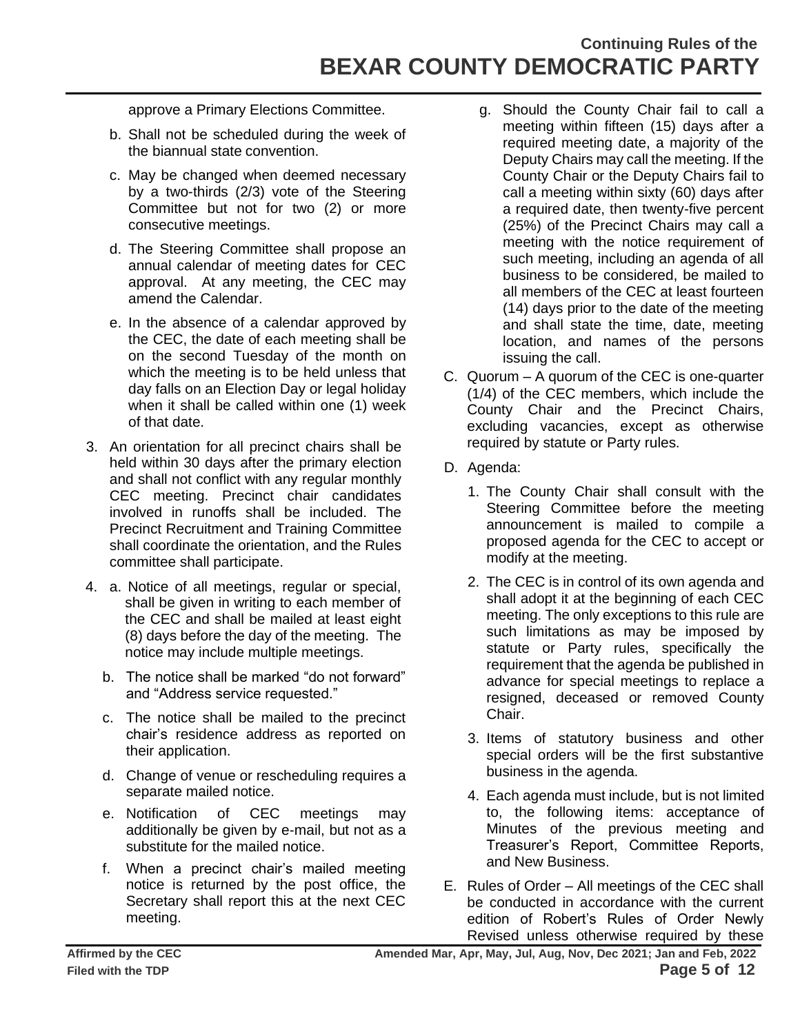# **Continuing Rules of the BEXAR COUNTY DEMOCRATIC PARTY**

approve a Primary Elections Committee.

- b. Shall not be scheduled during the week of the biannual state convention.
- c. May be changed when deemed necessary by a two-thirds (2/3) vote of the Steering Committee but not for two (2) or more consecutive meetings.
- d. The Steering Committee shall propose an annual calendar of meeting dates for CEC approval. At any meeting, the CEC may amend the Calendar.
- e. In the absence of a calendar approved by the CEC, the date of each meeting shall be on the second Tuesday of the month on which the meeting is to be held unless that day falls on an Election Day or legal holiday when it shall be called within one (1) week of that date.
- 3. An orientation for all precinct chairs shall be held within 30 days after the primary election and shall not conflict with any regular monthly CEC meeting. Precinct chair candidates involved in runoffs shall be included. The Precinct Recruitment and Training Committee shall coordinate the orientation, and the Rules committee shall participate.
- 4. a. Notice of all meetings, regular or special, shall be given in writing to each member of the CEC and shall be mailed at least eight (8) days before the day of the meeting. The notice may include multiple meetings.
	- b. The notice shall be marked "do not forward" and "Address service requested."
	- c. The notice shall be mailed to the precinct chair's residence address as reported on their application.
	- d. Change of venue or rescheduling requires a separate mailed notice.
	- e. Notification of CEC meetings may additionally be given by e-mail, but not as a substitute for the mailed notice.
	- f. When a precinct chair's mailed meeting notice is returned by the post office, the Secretary shall report this at the next CEC meeting.
- g. Should the County Chair fail to call a meeting within fifteen (15) days after a required meeting date, a majority of the Deputy Chairs may call the meeting. If the County Chair or the Deputy Chairs fail to call a meeting within sixty (60) days after a required date, then twenty-five percent (25%) of the Precinct Chairs may call a meeting with the notice requirement of such meeting, including an agenda of all business to be considered, be mailed to all members of the CEC at least fourteen (14) days prior to the date of the meeting and shall state the time, date, meeting location, and names of the persons issuing the call.
- C. Quorum A quorum of the CEC is one-quarter (1/4) of the CEC members, which include the County Chair and the Precinct Chairs, excluding vacancies, except as otherwise required by statute or Party rules.
- D. Agenda:
	- 1. The County Chair shall consult with the Steering Committee before the meeting announcement is mailed to compile a proposed agenda for the CEC to accept or modify at the meeting.
	- 2. The CEC is in control of its own agenda and shall adopt it at the beginning of each CEC meeting. The only exceptions to this rule are such limitations as may be imposed by statute or Party rules, specifically the requirement that the agenda be published in advance for special meetings to replace a resigned, deceased or removed County Chair.
	- 3. Items of statutory business and other special orders will be the first substantive business in the agenda.
	- 4. Each agenda must include, but is not limited to, the following items: acceptance of Minutes of the previous meeting and Treasurer's Report, Committee Reports, and New Business.
- E. Rules of Order All meetings of the CEC shall be conducted in accordance with the current edition of Robert's Rules of Order Newly Revised unless otherwise required by these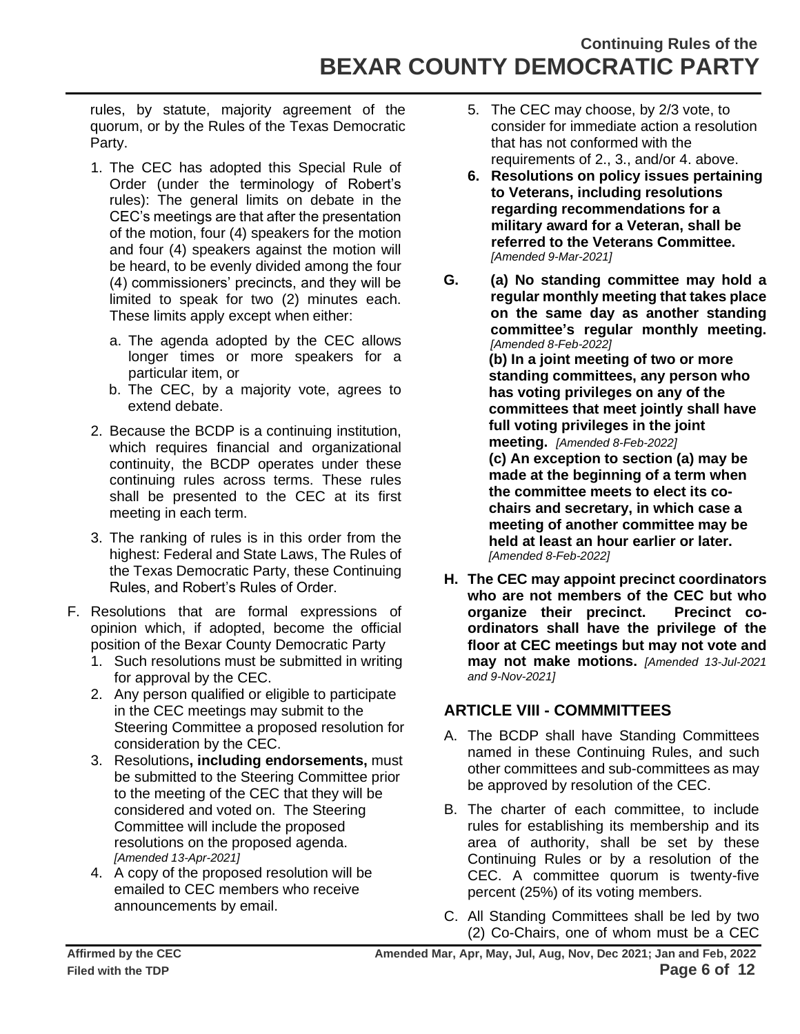rules, by statute, majority agreement of the quorum, or by the Rules of the Texas Democratic Party.

- 1. The CEC has adopted this Special Rule of Order (under the terminology of Robert's rules): The general limits on debate in the CEC's meetings are that after the presentation of the motion, four (4) speakers for the motion and four (4) speakers against the motion will be heard, to be evenly divided among the four (4) commissioners' precincts, and they will be limited to speak for two (2) minutes each. These limits apply except when either:
	- a. The agenda adopted by the CEC allows longer times or more speakers for a particular item, or
	- b. The CEC, by a majority vote, agrees to extend debate.
- 2. Because the BCDP is a continuing institution, which requires financial and organizational continuity, the BCDP operates under these continuing rules across terms. These rules shall be presented to the CEC at its first meeting in each term.
- 3. The ranking of rules is in this order from the highest: Federal and State Laws, The Rules of the Texas Democratic Party, these Continuing Rules, and Robert's Rules of Order.
- F. Resolutions that are formal expressions of opinion which, if adopted, become the official position of the Bexar County Democratic Party
	- 1. Such resolutions must be submitted in writing for approval by the CEC.
	- 2. Any person qualified or eligible to participate in the CEC meetings may submit to the Steering Committee a proposed resolution for consideration by the CEC.
	- 3. Resolutions**, including endorsements,** must be submitted to the Steering Committee prior to the meeting of the CEC that they will be considered and voted on. The Steering Committee will include the proposed resolutions on the proposed agenda. *[Amended 13-Apr-2021]*
	- 4. A copy of the proposed resolution will be emailed to CEC members who receive announcements by email.
- 5. The CEC may choose, by 2/3 vote, to consider for immediate action a resolution that has not conformed with the requirements of 2., 3., and/or 4. above.
- **6. Resolutions on policy issues pertaining to Veterans, including resolutions regarding recommendations for a military award for a Veteran, shall be referred to the Veterans Committee.**  *[Amended 9-Mar-2021]*
- **G. (a) No standing committee may hold a regular monthly meeting that takes place on the same day as another standing committee's regular monthly meeting.**  *[Amended 8-Feb-2022]*

**(b) In a joint meeting of two or more standing committees, any person who has voting privileges on any of the committees that meet jointly shall have full voting privileges in the joint meeting.** *[Amended 8-Feb-2022]* **(c) An exception to section (a) may be made at the beginning of a term when** 

**the committee meets to elect its cochairs and secretary, in which case a meeting of another committee may be held at least an hour earlier or later.**  *[Amended 8-Feb-2022]*

**H. The CEC may appoint precinct coordinators who are not members of the CEC but who organize their precinct. Precinct coordinators shall have the privilege of the floor at CEC meetings but may not vote and may not make motions.** *[Amended 13-Jul-2021 and 9-Nov-2021]*

### **ARTICLE VIII - COMMMITTEES**

- A. The BCDP shall have Standing Committees named in these Continuing Rules, and such other committees and sub-committees as may be approved by resolution of the CEC.
- B. The charter of each committee, to include rules for establishing its membership and its area of authority, shall be set by these Continuing Rules or by a resolution of the CEC. A committee quorum is twenty-five percent (25%) of its voting members.
- C. All Standing Committees shall be led by two (2) Co-Chairs, one of whom must be a CEC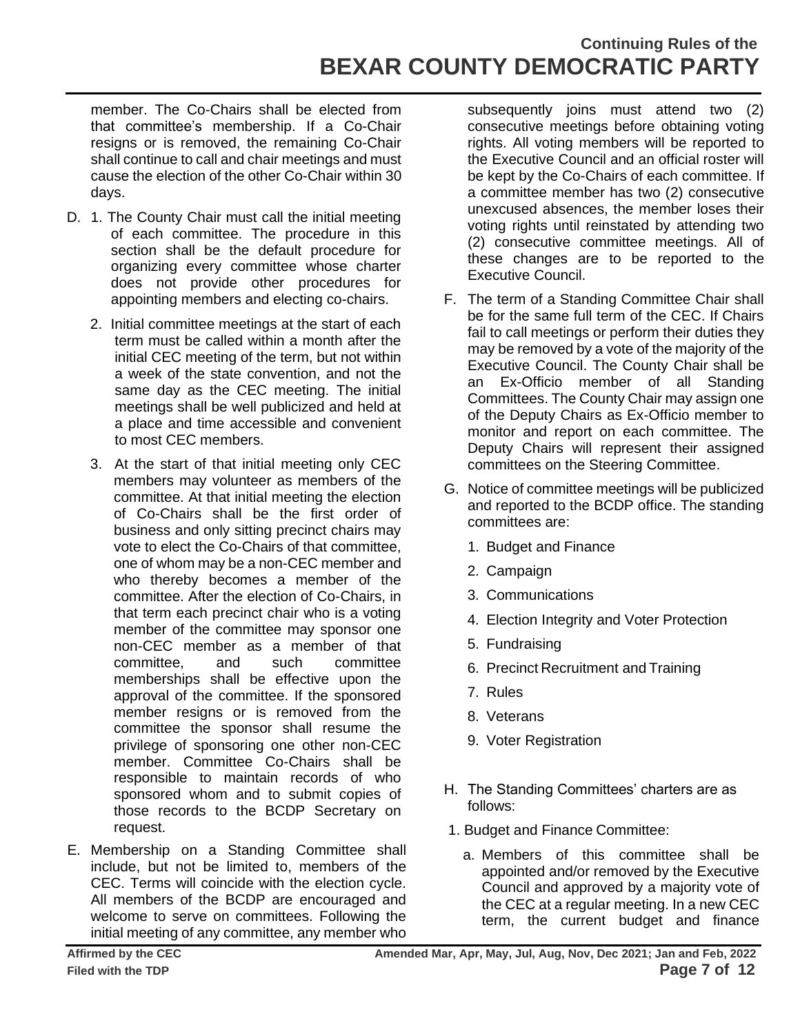member. The Co-Chairs shall be elected from that committee's membership. If a Co-Chair resigns or is removed, the remaining Co-Chair shall continue to call and chair meetings and must cause the election of the other Co-Chair within 30 days.

- D. 1. The County Chair must call the initial meeting of each committee. The procedure in this section shall be the default procedure for organizing every committee whose charter does not provide other procedures for appointing members and electing co-chairs.
	- 2. Initial committee meetings at the start of each term must be called within a month after the initial CEC meeting of the term, but not within a week of the state convention, and not the same day as the CEC meeting. The initial meetings shall be well publicized and held at a place and time accessible and convenient to most CEC members.
	- 3. At the start of that initial meeting only CEC members may volunteer as members of the committee. At that initial meeting the election of Co-Chairs shall be the first order of business and only sitting precinct chairs may vote to elect the Co-Chairs of that committee, one of whom may be a non-CEC member and who thereby becomes a member of the committee. After the election of Co-Chairs, in that term each precinct chair who is a voting member of the committee may sponsor one non-CEC member as a member of that committee, and such committee memberships shall be effective upon the approval of the committee. If the sponsored member resigns or is removed from the committee the sponsor shall resume the privilege of sponsoring one other non-CEC member. Committee Co-Chairs shall be responsible to maintain records of who sponsored whom and to submit copies of those records to the BCDP Secretary on request.
- E. Membership on a Standing Committee shall include, but not be limited to, members of the CEC. Terms will coincide with the election cycle. All members of the BCDP are encouraged and welcome to serve on committees. Following the initial meeting of any committee, any member who

subsequently joins must attend two (2) consecutive meetings before obtaining voting rights. All voting members will be reported to the Executive Council and an official roster will be kept by the Co-Chairs of each committee. If a committee member has two (2) consecutive unexcused absences, the member loses their voting rights until reinstated by attending two (2) consecutive committee meetings. All of these changes are to be reported to the Executive Council.

- F. The term of a Standing Committee Chair shall be for the same full term of the CEC. If Chairs fail to call meetings or perform their duties they may be removed by a vote of the majority of the Executive Council. The County Chair shall be an Ex-Officio member of all Standing Committees. The County Chair may assign one of the Deputy Chairs as Ex-Officio member to monitor and report on each committee. The Deputy Chairs will represent their assigned committees on the Steering Committee.
- G. Notice of committee meetings will be publicized and reported to the BCDP office. The standing committees are:
	- 1. Budget and Finance
	- 2. Campaign
	- 3. Communications
	- 4. Election Integrity and Voter Protection
	- 5. Fundraising
	- 6. Precinct Recruitment and Training
	- 7. Rules
	- 8. Veterans
	- 9. Voter Registration
- H. The Standing Committees' charters are as follows:
- 1. Budget and Finance Committee:
	- a. Members of this committee shall be appointed and/or removed by the Executive Council and approved by a majority vote of the CEC at a regular meeting. In a new CEC term, the current budget and finance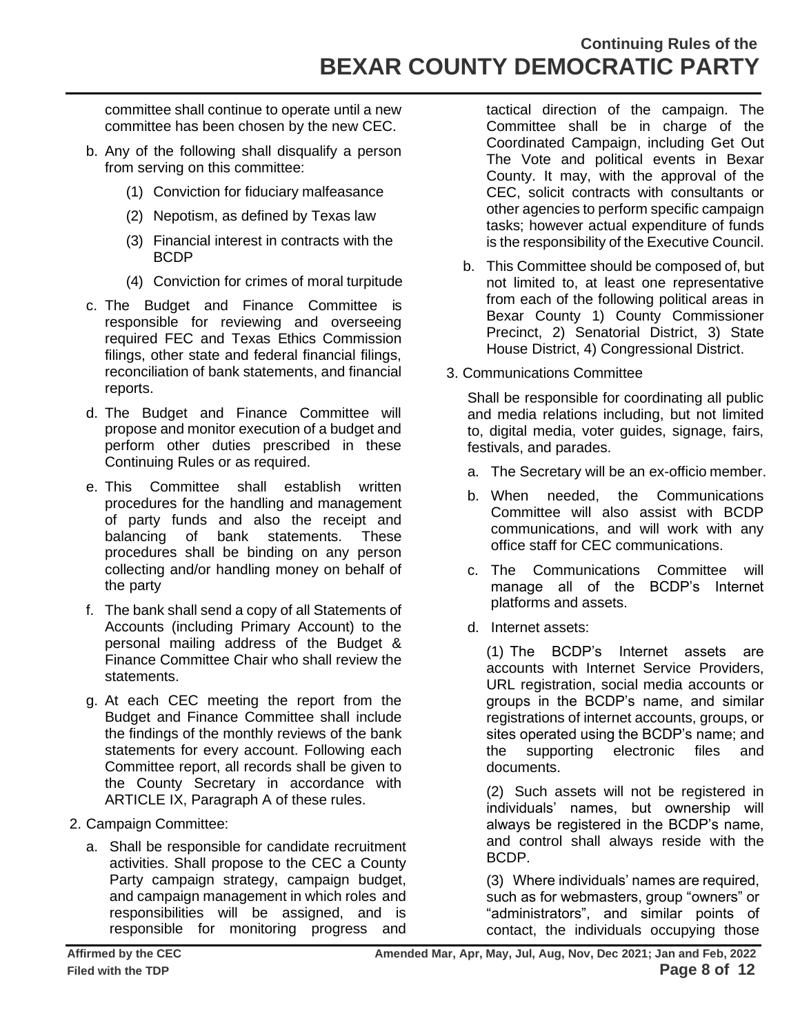## **Continuing Rules of the BEXAR COUNTY DEMOCRATIC PARTY**

committee shall continue to operate until a new committee has been chosen by the new CEC.

- b. Any of the following shall disqualify a person from serving on this committee:
	- (1) Conviction for fiduciary malfeasance
	- (2) Nepotism, as defined by Texas law
	- (3) Financial interest in contracts with the BCDP
	- (4) Conviction for crimes of moral turpitude
- c. The Budget and Finance Committee is responsible for reviewing and overseeing required FEC and Texas Ethics Commission filings, other state and federal financial filings, reconciliation of bank statements, and financial reports.
- d. The Budget and Finance Committee will propose and monitor execution of a budget and perform other duties prescribed in these Continuing Rules or as required.
- e. This Committee shall establish written procedures for the handling and management of party funds and also the receipt and balancing of bank statements. These procedures shall be binding on any person collecting and/or handling money on behalf of the party
- f. The bank shall send a copy of all Statements of Accounts (including Primary Account) to the personal mailing address of the Budget & Finance Committee Chair who shall review the statements.
- g. At each CEC meeting the report from the Budget and Finance Committee shall include the findings of the monthly reviews of the bank statements for every account. Following each Committee report, all records shall be given to the County Secretary in accordance with ARTICLE IX, Paragraph A of these rules.
- 2. Campaign Committee:
	- a. Shall be responsible for candidate recruitment activities. Shall propose to the CEC a County Party campaign strategy, campaign budget, and campaign management in which roles and responsibilities will be assigned, and is responsible for monitoring progress and

tactical direction of the campaign. The Committee shall be in charge of the Coordinated Campaign, including Get Out The Vote and political events in Bexar County. It may, with the approval of the CEC, solicit contracts with consultants or other agencies to perform specific campaign tasks; however actual expenditure of funds is the responsibility of the Executive Council.

- b. This Committee should be composed of, but not limited to, at least one representative from each of the following political areas in Bexar County 1) County Commissioner Precinct, 2) Senatorial District, 3) State House District, 4) Congressional District.
- 3. Communications Committee

Shall be responsible for coordinating all public and media relations including, but not limited to, digital media, voter guides, signage, fairs, festivals, and parades.

- a. The Secretary will be an ex-officio member.
- b. When needed, the Communications Committee will also assist with BCDP communications, and will work with any office staff for CEC communications.
- c. The Communications Committee will manage all of the BCDP's Internet platforms and assets.
- d. Internet assets:

(1) The BCDP's Internet assets are accounts with Internet Service Providers, URL registration, social media accounts or groups in the BCDP's name, and similar registrations of internet accounts, groups, or sites operated using the BCDP's name; and the supporting electronic files and documents.

(2) Such assets will not be registered in individuals' names, but ownership will always be registered in the BCDP's name, and control shall always reside with the BCDP.

(3) Where individuals' names are required, such as for webmasters, group "owners" or "administrators", and similar points of contact, the individuals occupying those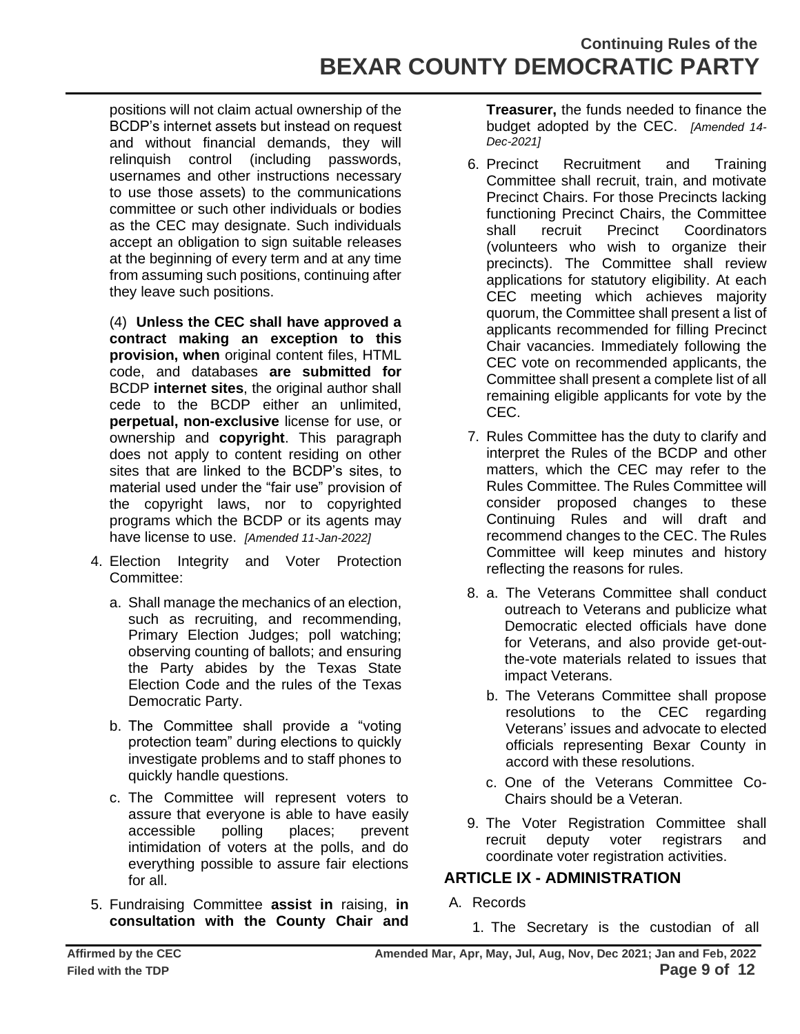positions will not claim actual ownership of the BCDP's internet assets but instead on request and without financial demands, they will relinquish control (including passwords, usernames and other instructions necessary to use those assets) to the communications committee or such other individuals or bodies as the CEC may designate. Such individuals accept an obligation to sign suitable releases at the beginning of every term and at any time from assuming such positions, continuing after they leave such positions.

(4) **Unless the CEC shall have approved a contract making an exception to this provision, when** original content files, HTML code, and databases **are submitted for** BCDP **internet sites**, the original author shall cede to the BCDP either an unlimited, **perpetual, non-exclusive** license for use, or ownership and **copyright**. This paragraph does not apply to content residing on other sites that are linked to the BCDP's sites, to material used under the "fair use" provision of the copyright laws, nor to copyrighted programs which the BCDP or its agents may have license to use. *[Amended 11-Jan-2022]*

- 4. Election Integrity and Voter Protection Committee:
	- a. Shall manage the mechanics of an election, such as recruiting, and recommending, Primary Election Judges; poll watching; observing counting of ballots; and ensuring the Party abides by the Texas State Election Code and the rules of the Texas Democratic Party.
	- b. The Committee shall provide a "voting protection team" during elections to quickly investigate problems and to staff phones to quickly handle questions.
	- c. The Committee will represent voters to assure that everyone is able to have easily accessible polling places; prevent intimidation of voters at the polls, and do everything possible to assure fair elections for all.
- 5. Fundraising Committee **assist in** raising, **in consultation with the County Chair and**

**Treasurer,** the funds needed to finance the budget adopted by the CEC. *[Amended 14- Dec-2021]*

- 6. Precinct Recruitment and Training Committee shall recruit, train, and motivate Precinct Chairs. For those Precincts lacking functioning Precinct Chairs, the Committee shall recruit Precinct Coordinators (volunteers who wish to organize their precincts). The Committee shall review applications for statutory eligibility. At each CEC meeting which achieves majority quorum, the Committee shall present a list of applicants recommended for filling Precinct Chair vacancies. Immediately following the CEC vote on recommended applicants, the Committee shall present a complete list of all remaining eligible applicants for vote by the CEC.
- 7. Rules Committee has the duty to clarify and interpret the Rules of the BCDP and other matters, which the CEC may refer to the Rules Committee. The Rules Committee will consider proposed changes to these Continuing Rules and will draft and recommend changes to the CEC. The Rules Committee will keep minutes and history reflecting the reasons for rules.
- 8. a. The Veterans Committee shall conduct outreach to Veterans and publicize what Democratic elected officials have done for Veterans, and also provide get-outthe-vote materials related to issues that impact Veterans.
	- b. The Veterans Committee shall propose resolutions to the CEC regarding Veterans' issues and advocate to elected officials representing Bexar County in accord with these resolutions.
	- c. One of the Veterans Committee Co-Chairs should be a Veteran.
- 9. The Voter Registration Committee shall recruit deputy voter registrars and coordinate voter registration activities.

### **ARTICLE IX - ADMINISTRATION**

- A. Records
	- 1. The Secretary is the custodian of all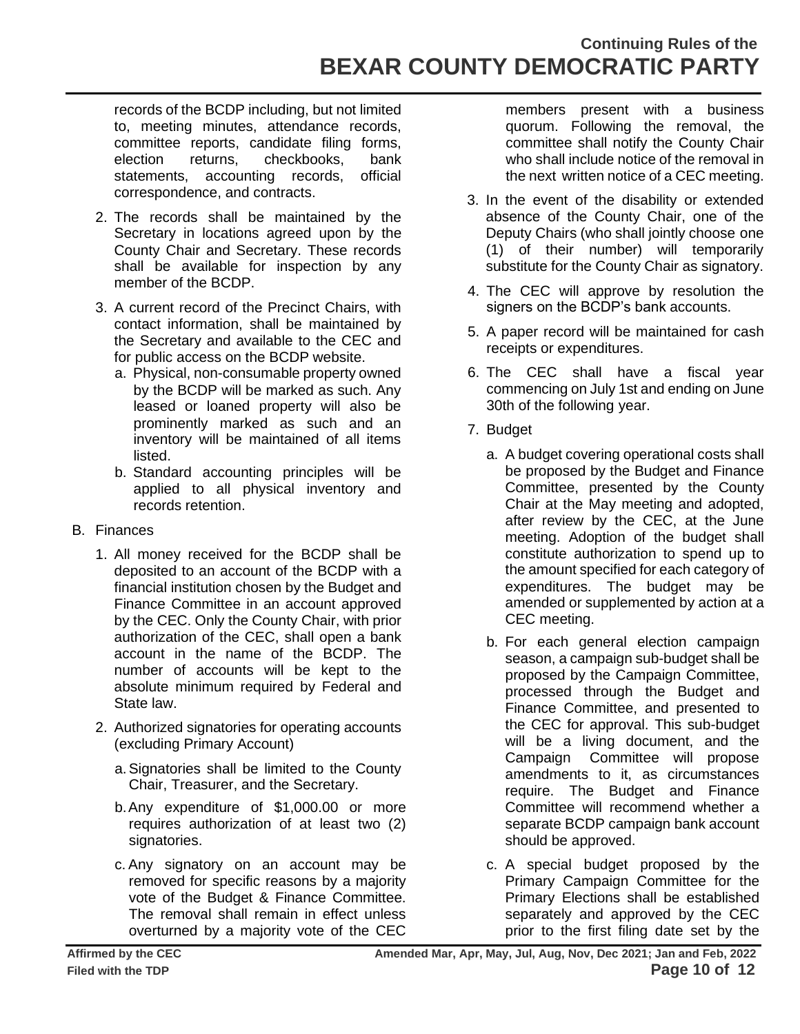records of the BCDP including, but not limited to, meeting minutes, attendance records, committee reports, candidate filing forms, election returns, checkbooks, bank statements, accounting records, official correspondence, and contracts.

- 2. The records shall be maintained by the Secretary in locations agreed upon by the County Chair and Secretary. These records shall be available for inspection by any member of the BCDP.
- 3. A current record of the Precinct Chairs, with contact information, shall be maintained by the Secretary and available to the CEC and for public access on the BCDP website.
	- a. Physical, non-consumable property owned by the BCDP will be marked as such. Any leased or loaned property will also be prominently marked as such and an inventory will be maintained of all items listed.
	- b. Standard accounting principles will be applied to all physical inventory and records retention.
- B. Finances
	- 1. All money received for the BCDP shall be deposited to an account of the BCDP with a financial institution chosen by the Budget and Finance Committee in an account approved by the CEC. Only the County Chair, with prior authorization of the CEC, shall open a bank account in the name of the BCDP. The number of accounts will be kept to the absolute minimum required by Federal and State law.
	- 2. Authorized signatories for operating accounts (excluding Primary Account)
		- a.Signatories shall be limited to the County Chair, Treasurer, and the Secretary.
		- b.Any expenditure of \$1,000.00 or more requires authorization of at least two (2) signatories.
		- c. Any signatory on an account may be removed for specific reasons by a majority vote of the Budget & Finance Committee. The removal shall remain in effect unless overturned by a majority vote of the CEC

members present with a business quorum. Following the removal, the committee shall notify the County Chair who shall include notice of the removal in the next written notice of a CEC meeting.

- 3. In the event of the disability or extended absence of the County Chair, one of the Deputy Chairs (who shall jointly choose one (1) of their number) will temporarily substitute for the County Chair as signatory.
- 4. The CEC will approve by resolution the signers on the BCDP's bank accounts.
- 5. A paper record will be maintained for cash receipts or expenditures.
- 6. The CEC shall have a fiscal year commencing on July 1st and ending on June 30th of the following year.
- 7. Budget
	- a. A budget covering operational costs shall be proposed by the Budget and Finance Committee, presented by the County Chair at the May meeting and adopted, after review by the CEC, at the June meeting. Adoption of the budget shall constitute authorization to spend up to the amount specified for each category of expenditures. The budget may be amended or supplemented by action at a CEC meeting.
	- b. For each general election campaign season, a campaign sub-budget shall be proposed by the Campaign Committee, processed through the Budget and Finance Committee, and presented to the CEC for approval. This sub-budget will be a living document, and the Campaign Committee will propose amendments to it, as circumstances require. The Budget and Finance Committee will recommend whether a separate BCDP campaign bank account should be approved.
	- c. A special budget proposed by the Primary Campaign Committee for the Primary Elections shall be established separately and approved by the CEC prior to the first filing date set by the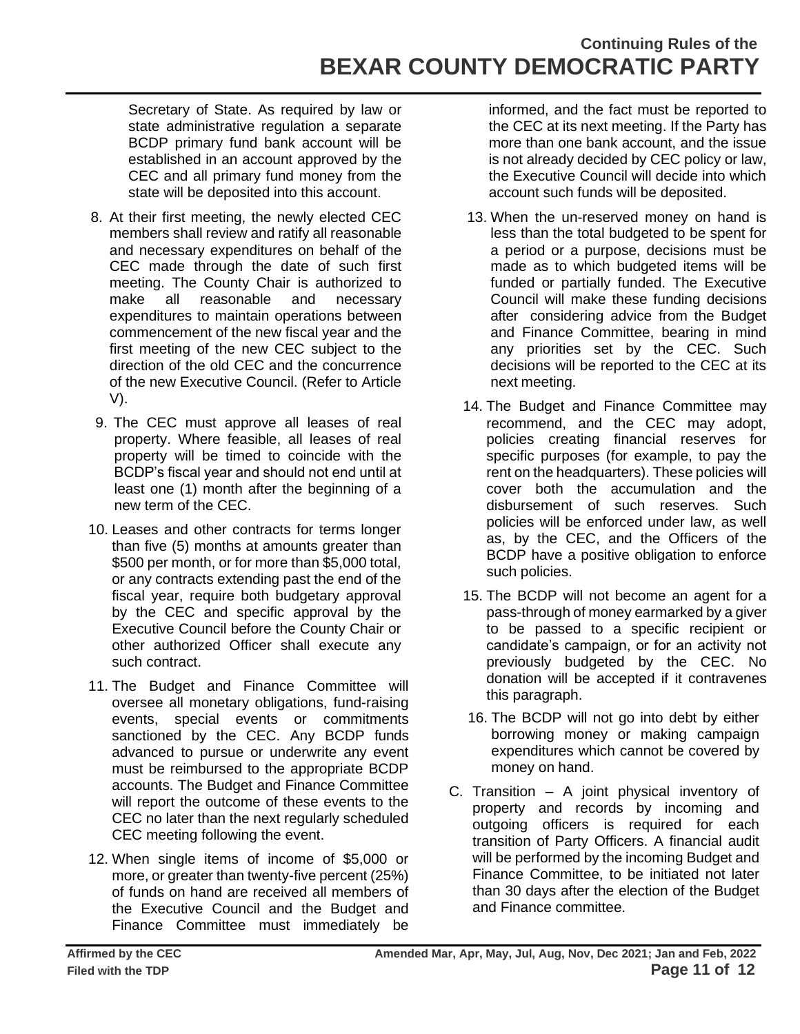Secretary of State. As required by law or state administrative regulation a separate BCDP primary fund bank account will be established in an account approved by the CEC and all primary fund money from the state will be deposited into this account.

- 8. At their first meeting, the newly elected CEC members shall review and ratify all reasonable and necessary expenditures on behalf of the CEC made through the date of such first meeting. The County Chair is authorized to make all reasonable and necessary expenditures to maintain operations between commencement of the new fiscal year and the first meeting of the new CEC subject to the direction of the old CEC and the concurrence of the new Executive Council. (Refer to Article V).
- 9. The CEC must approve all leases of real property. Where feasible, all leases of real property will be timed to coincide with the BCDP's fiscal year and should not end until at least one (1) month after the beginning of a new term of the CEC.
- 10. Leases and other contracts for terms longer than five (5) months at amounts greater than \$500 per month, or for more than \$5,000 total, or any contracts extending past the end of the fiscal year, require both budgetary approval by the CEC and specific approval by the Executive Council before the County Chair or other authorized Officer shall execute any such contract.
- 11. The Budget and Finance Committee will oversee all monetary obligations, fund-raising events, special events or commitments sanctioned by the CEC. Any BCDP funds advanced to pursue or underwrite any event must be reimbursed to the appropriate BCDP accounts. The Budget and Finance Committee will report the outcome of these events to the CEC no later than the next regularly scheduled CEC meeting following the event.
- 12. When single items of income of \$5,000 or more, or greater than twenty-five percent (25%) of funds on hand are received all members of the Executive Council and the Budget and Finance Committee must immediately be

informed, and the fact must be reported to the CEC at its next meeting. If the Party has more than one bank account, and the issue is not already decided by CEC policy or law, the Executive Council will decide into which account such funds will be deposited.

- 13. When the un-reserved money on hand is less than the total budgeted to be spent for a period or a purpose, decisions must be made as to which budgeted items will be funded or partially funded. The Executive Council will make these funding decisions after considering advice from the Budget and Finance Committee, bearing in mind any priorities set by the CEC. Such decisions will be reported to the CEC at its next meeting.
- 14. The Budget and Finance Committee may recommend, and the CEC may adopt, policies creating financial reserves for specific purposes (for example, to pay the rent on the headquarters). These policies will cover both the accumulation and the disbursement of such reserves. Such policies will be enforced under law, as well as, by the CEC, and the Officers of the BCDP have a positive obligation to enforce such policies.
- 15. The BCDP will not become an agent for a pass-through of money earmarked by a giver to be passed to a specific recipient or candidate's campaign, or for an activity not previously budgeted by the CEC. No donation will be accepted if it contravenes this paragraph.
- 16. The BCDP will not go into debt by either borrowing money or making campaign expenditures which cannot be covered by money on hand.
- C. Transition A joint physical inventory of property and records by incoming and outgoing officers is required for each transition of Party Officers. A financial audit will be performed by the incoming Budget and Finance Committee, to be initiated not later than 30 days after the election of the Budget and Finance committee.